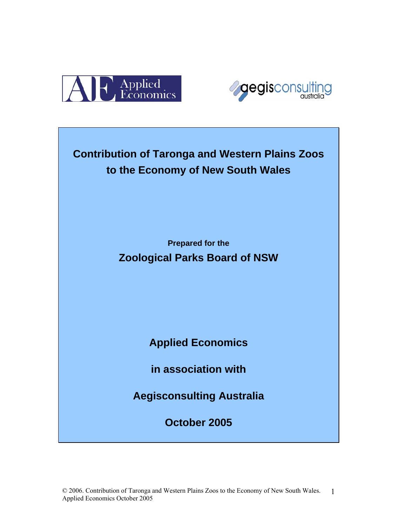



# **Contribution of Taronga and Western Plains Zoos to the Economy of New South Wales**

**Prepared for the Zoological Parks Board of NSW** 

**Applied Economics** 

**in association with** 

**Aegisconsulting Australia** 

**October 2005**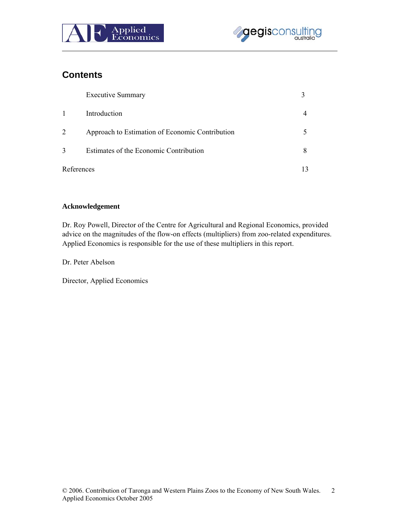



### **Contents**

|              | <b>Executive Summary</b>                        |  |
|--------------|-------------------------------------------------|--|
| $\mathbf{1}$ | Introduction                                    |  |
| 2            | Approach to Estimation of Economic Contribution |  |
| 3            | Estimates of the Economic Contribution          |  |
| References   |                                                 |  |

#### **Acknowledgement**

Dr. Roy Powell, Director of the Centre for Agricultural and Regional Economics, provided advice on the magnitudes of the flow-on effects (multipliers) from zoo-related expenditures. Applied Economics is responsible for the use of these multipliers in this report.

Dr. Peter Abelson

Director, Applied Economics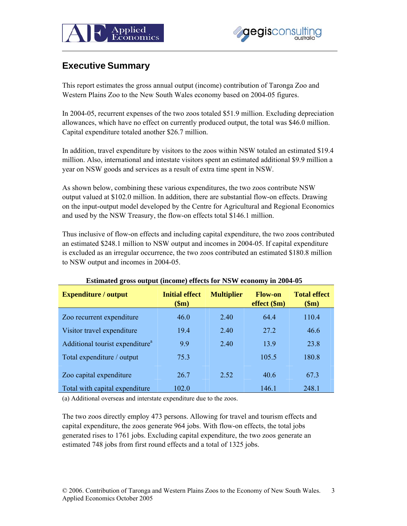



## **Executive Summary**

This report estimates the gross annual output (income) contribution of Taronga Zoo and Western Plains Zoo to the New South Wales economy based on 2004-05 figures.

In 2004-05, recurrent expenses of the two zoos totaled \$51.9 million. Excluding depreciation allowances, which have no effect on currently produced output, the total was \$46.0 million. Capital expenditure totaled another \$26.7 million.

In addition, travel expenditure by visitors to the zoos within NSW totaled an estimated \$19.4 million. Also, international and intestate visitors spent an estimated additional \$9.9 million a year on NSW goods and services as a result of extra time spent in NSW.

As shown below, combining these various expenditures, the two zoos contribute NSW output valued at \$102.0 million. In addition, there are substantial flow-on effects. Drawing on the input-output model developed by the Centre for Agricultural and Regional Economics and used by the NSW Treasury, the flow-on effects total \$146.1 million.

Thus inclusive of flow-on effects and including capital expenditure, the two zoos contributed an estimated \$248.1 million to NSW output and incomes in 2004-05. If capital expenditure is excluded as an irregular occurrence, the two zoos contributed an estimated \$180.8 million to NSW output and incomes in 2004-05.

| <b>ESUMATED 21 USS OUTPUT (MICOME) CHECKS TOL TYS W ECONOMY IN 2004-03</b> |                               |                   |                                  |                              |  |  |  |
|----------------------------------------------------------------------------|-------------------------------|-------------------|----------------------------------|------------------------------|--|--|--|
| <b>Expenditure / output</b>                                                | <b>Initial effect</b><br>\$m) | <b>Multiplier</b> | <b>Flow-on</b><br>$effect$ (\$m) | <b>Total effect</b><br>\$m\$ |  |  |  |
| Zoo recurrent expenditure                                                  | 46.0                          | 2.40              | 644                              | 110.4                        |  |  |  |
| Visitor travel expenditure                                                 | 19.4                          | 2.40              | 27.2                             | 46.6                         |  |  |  |
| Additional tourist expenditure <sup>a</sup>                                | 9.9                           | 2.40              | 13.9                             | 23.8                         |  |  |  |
| Total expenditure / output                                                 | 75.3                          |                   | 105.5                            | 180.8                        |  |  |  |
| Zoo capital expenditure                                                    | 26.7                          | 2.52              | 40.6                             | 67.3                         |  |  |  |
| Total with capital expenditure                                             | 102.0                         |                   | 146.1                            | 248.1                        |  |  |  |

**Estimated gross output (income) effects for NSW economy in 2004-05** 

(a) Additional overseas and interstate expenditure due to the zoos.

The two zoos directly employ 473 persons. Allowing for travel and tourism effects and capital expenditure, the zoos generate 964 jobs. With flow-on effects, the total jobs generated rises to 1761 jobs. Excluding capital expenditure, the two zoos generate an estimated 748 jobs from first round effects and a total of 1325 jobs.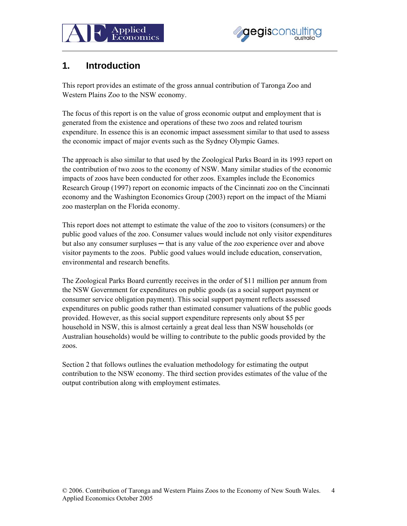



# **1. Introduction**

This report provides an estimate of the gross annual contribution of Taronga Zoo and Western Plains Zoo to the NSW economy.

The focus of this report is on the value of gross economic output and employment that is generated from the existence and operations of these two zoos and related tourism expenditure. In essence this is an economic impact assessment similar to that used to assess the economic impact of major events such as the Sydney Olympic Games.

The approach is also similar to that used by the Zoological Parks Board in its 1993 report on the contribution of two zoos to the economy of NSW. Many similar studies of the economic impacts of zoos have been conducted for other zoos. Examples include the Economics Research Group (1997) report on economic impacts of the Cincinnati zoo on the Cincinnati economy and the Washington Economics Group (2003) report on the impact of the Miami zoo masterplan on the Florida economy.

This report does not attempt to estimate the value of the zoo to visitors (consumers) or the public good values of the zoo. Consumer values would include not only visitor expenditures but also any consumer surpluses — that is any value of the zoo experience over and above visitor payments to the zoos. Public good values would include education, conservation, environmental and research benefits.

The Zoological Parks Board currently receives in the order of \$11 million per annum from the NSW Government for expenditures on public goods (as a social support payment or consumer service obligation payment). This social support payment reflects assessed expenditures on public goods rather than estimated consumer valuations of the public goods provided. However, as this social support expenditure represents only about \$5 per household in NSW, this is almost certainly a great deal less than NSW households (or Australian households) would be willing to contribute to the public goods provided by the zoos.

Section 2 that follows outlines the evaluation methodology for estimating the output contribution to the NSW economy. The third section provides estimates of the value of the output contribution along with employment estimates.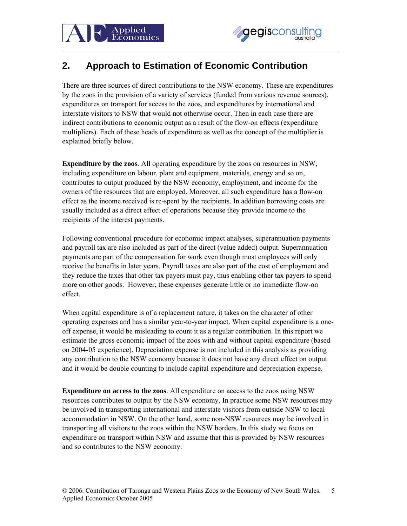



# **2. Approach to Estimation of Economic Contribution**

There are three sources of direct contributions to the NSW economy. These are expenditures by the zoos in the provision of a variety of services (funded from various revenue sources), expenditures on transport for access to the zoos, and expenditures by international and interstate visitors to NSW that would not otherwise occur. Then in each case there are indirect contributions to economic output as a result of the flow-on effects (expenditure multipliers). Each of these heads of expenditure as well as the concept of the multiplier is explained briefly below.

**Expenditure by the zoos**. All operating expenditure by the zoos on resources in NSW, including expenditure on labour, plant and equipment, materials, energy and so on, contributes to output produced by the NSW economy, employment, and income for the owners of the resources that are employed. Moreover, all such expenditure has a flow-on effect as the income received is re-spent by the recipients. In addition borrowing costs are usually included as a direct effect of operations because they provide income to the recipients of the interest payments.

Following conventional procedure for economic impact analyses, superannuation payments and payroll tax are also included as part of the direct (value added) output. Superannuation payments are part of the compensation for work even though most employees will only receive the benefits in later years. Payroll taxes are also part of the cost of employment and they reduce the taxes that other tax payers must pay, thus enabling other tax payers to spend more on other goods. However, these expenses generate little or no immediate flow-on effect.

When capital expenditure is of a replacement nature, it takes on the character of other operating expenses and has a similar year-to-year impact. When capital expenditure is a oneoff expense, it would be misleading to count it as a regular contribution. In this report we estimate the gross economic impact of the zoos with and without capital expenditure (based on 2004-05 experience). Depreciation expense is not included in this analysis as providing any contribution to the NSW economy because it does not have any direct effect on output and it would be double counting to include capital expenditure and depreciation expense.

**Expenditure on access to the zoos**. All expenditure on access to the zoos using NSW resources contributes to output by the NSW economy. In practice some NSW resources may be involved in transporting international and interstate visitors from outside NSW to local accommodation in NSW. On the other hand, some non-NSW resources may be involved in transporting all visitors to the zoos within the NSW borders. In this study we focus on expenditure on transport within NSW and assume that this is provided by NSW resources and so contributes to the NSW economy.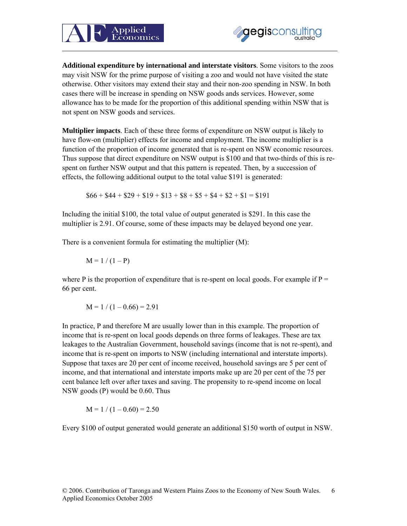



**Additional expenditure by international and interstate visitors**. Some visitors to the zoos may visit NSW for the prime purpose of visiting a zoo and would not have visited the state otherwise. Other visitors may extend their stay and their non-zoo spending in NSW. In both cases there will be increase in spending on NSW goods ands services. However, some allowance has to be made for the proportion of this additional spending within NSW that is not spent on NSW goods and services.

**Multiplier impacts**. Each of these three forms of expenditure on NSW output is likely to have flow-on (multiplier) effects for income and employment. The income multiplier is a function of the proportion of income generated that is re-spent on NSW economic resources. Thus suppose that direct expenditure on NSW output is \$100 and that two-thirds of this is respent on further NSW output and that this pattern is repeated. Then, by a succession of effects, the following additional output to the total value \$191 is generated:

 $$66 + $44 + $29 + $19 + $13 + $8 + $5 + $4 + $2 + $1 = $191$ 

Including the initial \$100, the total value of output generated is \$291. In this case the multiplier is 2.91. Of course, some of these impacts may be delayed beyond one year.

There is a convenient formula for estimating the multiplier (M):

$$
M = 1 / (1 - P)
$$

where P is the proportion of expenditure that is re-spent on local goods. For example if  $P =$ 66 per cent.

$$
M = 1 / (1 - 0.66) = 2.91
$$

In practice, P and therefore M are usually lower than in this example. The proportion of income that is re-spent on local goods depends on three forms of leakages. These are tax leakages to the Australian Government, household savings (income that is not re-spent), and income that is re-spent on imports to NSW (including international and interstate imports). Suppose that taxes are 20 per cent of income received, household savings are 5 per cent of income, and that international and interstate imports make up are 20 per cent of the 75 per cent balance left over after taxes and saving. The propensity to re-spend income on local NSW goods (P) would be 0.60. Thus

$$
M = 1 / (1 - 0.60) = 2.50
$$

Every \$100 of output generated would generate an additional \$150 worth of output in NSW.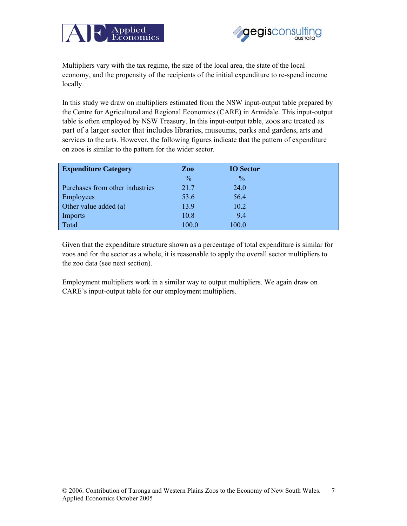



Multipliers vary with the tax regime, the size of the local area, the state of the local economy, and the propensity of the recipients of the initial expenditure to re-spend income locally.

In this study we draw on multipliers estimated from the NSW input-output table prepared by the Centre for Agricultural and Regional Economics (CARE) in Armidale. This input-output table is often employed by NSW Treasury. In this input-output table, zoos are treated as part of a larger sector that includes libraries, museums, parks and gardens, arts and services to the arts. However, the following figures indicate that the pattern of expenditure on zoos is similar to the pattern for the wider sector.

| <b>Expenditure Category</b>     | Zoo           | <b>IO</b> Sector |  |
|---------------------------------|---------------|------------------|--|
|                                 | $\frac{0}{0}$ | $\frac{0}{0}$    |  |
| Purchases from other industries | 21.7          | 24.0             |  |
| Employees                       | 53.6          | 56.4             |  |
| Other value added (a)           | 13.9          | 10.2             |  |
| Imports                         | 10.8          | 9.4              |  |
| Total                           | 100.0         | 100.0            |  |

Given that the expenditure structure shown as a percentage of total expenditure is similar for zoos and for the sector as a whole, it is reasonable to apply the overall sector multipliers to the zoo data (see next section).

Employment multipliers work in a similar way to output multipliers. We again draw on CARE's input-output table for our employment multipliers.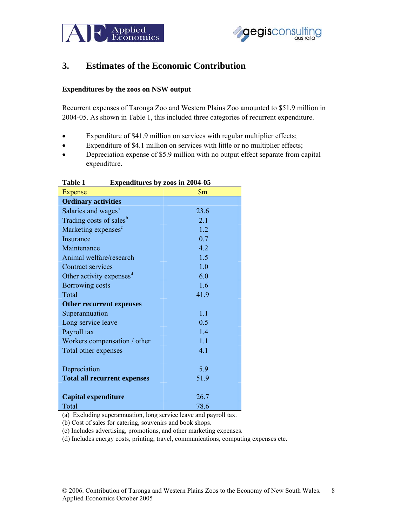



### **3. Estimates of the Economic Contribution**

#### **Expenditures by the zoos on NSW output**

Recurrent expenses of Taronga Zoo and Western Plains Zoo amounted to \$51.9 million in 2004-05. As shown in Table 1, this included three categories of recurrent expenditure.

- Expenditure of \$41.9 million on services with regular multiplier effects;
- Expenditure of \$4.1 million on services with little or no multiplier effects;
- Depreciation expense of \$5.9 million with no output effect separate from capital expenditure.

| Table 1<br><b>Expenditures by zoos in 2004-05</b> |                 |  |  |  |  |
|---------------------------------------------------|-----------------|--|--|--|--|
| Expense                                           | $\mathbf{\S}$ m |  |  |  |  |
| <b>Ordinary activities</b>                        |                 |  |  |  |  |
| Salaries and wages <sup>a</sup>                   | 23.6            |  |  |  |  |
| Trading costs of sales <sup>b</sup>               | 2.1             |  |  |  |  |
| Marketing expenses <sup>c</sup>                   | 1.2             |  |  |  |  |
| Insurance                                         | 0.7             |  |  |  |  |
| Maintenance                                       | 42              |  |  |  |  |
| Animal welfare/research                           | 1.5             |  |  |  |  |
| Contract services                                 | 1.0             |  |  |  |  |
| Other activity expenses <sup>d</sup>              | 6.0             |  |  |  |  |
| Borrowing costs                                   | 1.6             |  |  |  |  |
| Total                                             | 41.9            |  |  |  |  |
| Other recurrent expenses                          |                 |  |  |  |  |
| Superannuation                                    | 1.1             |  |  |  |  |
| Long service leave                                | 0.5             |  |  |  |  |
| Payroll tax                                       | 1.4             |  |  |  |  |
| Workers compensation / other                      | 1.1             |  |  |  |  |
| Total other expenses                              | 4.1             |  |  |  |  |
|                                                   |                 |  |  |  |  |
| Depreciation                                      | 5.9             |  |  |  |  |
| <b>Total all recurrent expenses</b>               | 51.9            |  |  |  |  |
|                                                   |                 |  |  |  |  |
| Capital expenditure                               | 26.7            |  |  |  |  |
| Total                                             | 78.6            |  |  |  |  |

| Table 1 | <b>Expenditures by zoos in 2004-05</b> |  |
|---------|----------------------------------------|--|

(a) Excluding superannuation, long service leave and payroll tax.

(b) Cost of sales for catering, souvenirs and book shops.

(c) Includes advertising, promotions, and other marketing expenses.

(d) Includes energy costs, printing, travel, communications, computing expenses etc.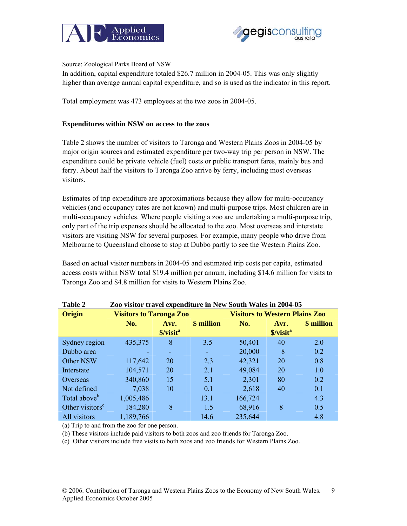



Source: Zoological Parks Board of NSW

In addition, capital expenditure totaled \$26.7 million in 2004-05. This was only slightly higher than average annual capital expenditure, and so is used as the indicator in this report.

Total employment was 473 employees at the two zoos in 2004-05.

#### **Expenditures within NSW on access to the zoos**

Table 2 shows the number of visitors to Taronga and Western Plains Zoos in 2004-05 by major origin sources and estimated expenditure per two-way trip per person in NSW. The expenditure could be private vehicle (fuel) costs or public transport fares, mainly bus and ferry. About half the visitors to Taronga Zoo arrive by ferry, including most overseas visitors.

Estimates of trip expenditure are approximations because they allow for multi-occupancy vehicles (and occupancy rates are not known) and multi-purpose trips. Most children are in multi-occupancy vehicles. Where people visiting a zoo are undertaking a multi-purpose trip, only part of the trip expenses should be allocated to the zoo. Most overseas and interstate visitors are visiting NSW for several purposes. For example, many people who drive from Melbourne to Queensland choose to stop at Dubbo partly to see the Western Plains Zoo.

Based on actual visitor numbers in 2004-05 and estimated trip costs per capita, estimated access costs within NSW total \$19.4 million per annum, including \$14.6 million for visits to Taronga Zoo and \$4.8 million for visits to Western Plains Zoo.

| <b>Table 2</b>              | Zoo visitor travel expenditure in New South Wales in 2004-05 |                       |            |                                       |                       |            |
|-----------------------------|--------------------------------------------------------------|-----------------------|------------|---------------------------------------|-----------------------|------------|
| Origin                      | <b>Visitors to Taronga Zoo</b>                               |                       |            | <b>Visitors to Western Plains Zoo</b> |                       |            |
|                             | No.                                                          | Avr.                  | \$ million | No.                                   | Avr.                  | \$ million |
|                             |                                                              | \$/visit <sup>a</sup> |            |                                       | \$/visit <sup>a</sup> |            |
| Sydney region               | 435,375                                                      | 8                     | 3.5        | 50,401                                | 40                    | 2.0        |
| Dubbo area                  |                                                              |                       | ۰          | 20,000                                | 8                     | 0.2        |
| Other NSW                   | 117,642                                                      | 20                    | 2.3        | 42,321                                | 20                    | 0.8        |
| Interstate                  | 104,571                                                      | 20                    | 2.1        | 49,084                                | 20                    | 1.0        |
| Overseas                    | 340,860                                                      | 15                    | 5.1        | 2,301                                 | 80                    | 0.2        |
| Not defined                 | 7,038                                                        | 10                    | 0.1        | 2,618                                 | 40                    | 0.1        |
| Total above <sup>b</sup>    | 1,005,486                                                    |                       | 13.1       | 166,724                               |                       | 4.3        |
| Other visitors <sup>c</sup> | 184,280                                                      | 8                     | 1.5        | 68,916                                | 8                     | 0.5        |
| All visitors                | 1,189,766                                                    |                       | 14.6       | 235,644                               |                       | 4.8        |

(a) Trip to and from the zoo for one person. (b) These visitors include paid visitors to both zoos and zoo friends for Taronga Zoo.

(c) Other visitors include free visits to both zoos and zoo friends for Western Plains Zoo.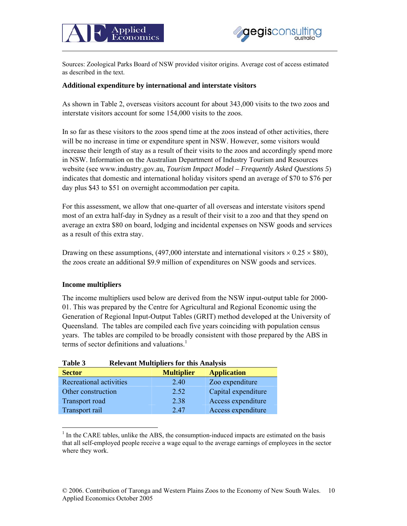



Sources: Zoological Parks Board of NSW provided visitor origins. Average cost of access estimated as described in the text.

#### **Additional expenditure by international and interstate visitors**

As shown in Table 2, overseas visitors account for about 343,000 visits to the two zoos and interstate visitors account for some 154,000 visits to the zoos.

In so far as these visitors to the zoos spend time at the zoos instead of other activities, there will be no increase in time or expenditure spent in NSW. However, some visitors would increase their length of stay as a result of their visits to the zoos and accordingly spend more in NSW. Information on the Australian Department of Industry Tourism and Resources website (see www.industry.gov.au, *Tourism Impact Model – Frequently Asked Questions 5*) indicates that domestic and international holiday visitors spend an average of \$70 to \$76 per day plus \$43 to \$51 on overnight accommodation per capita.

For this assessment, we allow that one-quarter of all overseas and interstate visitors spend most of an extra half-day in Sydney as a result of their visit to a zoo and that they spend on average an extra \$80 on board, lodging and incidental expenses on NSW goods and services as a result of this extra stay.

Drawing on these assumptions,  $(497,000)$  interstate and international visitors  $\times$  0.25  $\times$  \$80), the zoos create an additional \$9.9 million of expenditures on NSW goods and services.

#### **Income multipliers**

 $\overline{a}$ 

The income multipliers used below are derived from the NSW input-output table for 2000- 01. This was prepared by the Centre for Agricultural and Regional Economic using the Generation of Regional Input-Output Tables (GRIT) method developed at the University of Queensland. The tables are compiled each five years coinciding with population census years. The tables are compiled to be broadly consistent with those prepared by the ABS in terms of sector definitions and valuations.<sup>1</sup>

| <b>Relevant Multipliers for this Analysis</b><br>Table 3 |                   |                     |  |  |  |  |
|----------------------------------------------------------|-------------------|---------------------|--|--|--|--|
| <b>Sector</b>                                            | <b>Multiplier</b> | <b>Application</b>  |  |  |  |  |
| Recreational activities                                  | 2.40              | Zoo expenditure     |  |  |  |  |
| Other construction                                       | 2.52              | Capital expenditure |  |  |  |  |
| Transport road                                           | 2.38              | Access expenditure  |  |  |  |  |
| Transport rail                                           | 2.47              | Access expenditure  |  |  |  |  |

 $<sup>1</sup>$  In the CARE tables, unlike the ABS, the consumption-induced impacts are estimated on the basis</sup> that all self-employed people receive a wage equal to the average earnings of employees in the sector where they work.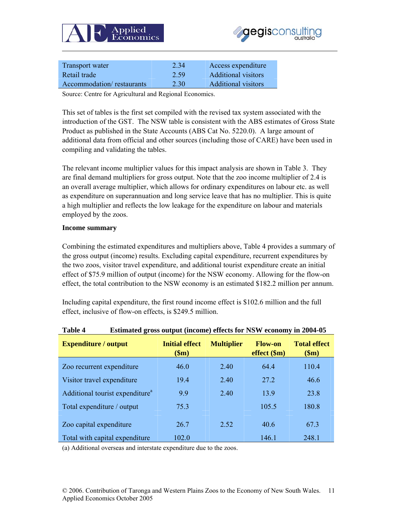



| <b>Transport water</b>    | 2.34 | Access expenditure         |
|---------------------------|------|----------------------------|
| Retail trade              | 2.59 | <b>Additional visitors</b> |
| Accommodation/restaurants | 2.30 | <b>Additional visitors</b> |

Source: Centre for Agricultural and Regional Economics.

This set of tables is the first set compiled with the revised tax system associated with the introduction of the GST. The NSW table is consistent with the ABS estimates of Gross State Product as published in the State Accounts (ABS Cat No. 5220.0). A large amount of additional data from official and other sources (including those of CARE) have been used in compiling and validating the tables.

The relevant income multiplier values for this impact analysis are shown in Table 3. They are final demand multipliers for gross output. Note that the zoo income multiplier of 2.4 is an overall average multiplier, which allows for ordinary expenditures on labour etc. as well as expenditure on superannuation and long service leave that has no multiplier. This is quite a high multiplier and reflects the low leakage for the expenditure on labour and materials employed by the zoos.

#### **Income summary**

Combining the estimated expenditures and multipliers above, Table 4 provides a summary of the gross output (income) results. Excluding capital expenditure, recurrent expenditures by the two zoos, visitor travel expenditure, and additional tourist expenditure create an initial effect of \$75.9 million of output (income) for the NSW economy. Allowing for the flow-on effect, the total contribution to the NSW economy is an estimated \$182.2 million per annum.

Including capital expenditure, the first round income effect is \$102.6 million and the full effect, inclusive of flow-on effects, is \$249.5 million.

| <b>Expenditure / output</b>                 | <b>Initial effect</b><br>\$m\$ | <b>Multiplier</b> | <b>Flow-on</b><br>$effect$ (\$m) | <b>Total effect</b><br>\$m\$ |
|---------------------------------------------|--------------------------------|-------------------|----------------------------------|------------------------------|
| Zoo recurrent expenditure                   | 46.0                           | 2.40              | 644                              | 110.4                        |
| Visitor travel expenditure                  | 19.4                           | 2.40              | 27.2                             | 46.6                         |
| Additional tourist expenditure <sup>a</sup> | 9.9                            | 2.40              | 13.9                             | 23.8                         |
| Total expenditure / output                  | 75.3                           |                   | 105.5                            | 180.8                        |
| Zoo capital expenditure                     | 26.7                           | 2.52              | 40.6                             | 67.3                         |
| Total with capital expenditure              | 102.0                          |                   | 146.1                            | 248.1                        |

#### **Table 4 Estimated gross output (income) effects for NSW economy in 2004-05**

(a) Additional overseas and interstate expenditure due to the zoos.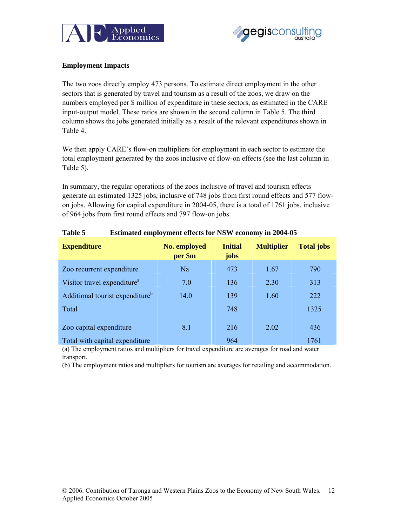



#### **Employment Impacts**

The two zoos directly employ 473 persons. To estimate direct employment in the other sectors that is generated by travel and tourism as a result of the zoos, we draw on the numbers employed per \$ million of expenditure in these sectors, as estimated in the CARE input-output model. These ratios are shown in the second column in Table 5. The third column shows the jobs generated initially as a result of the relevant expenditures shown in Table 4.

We then apply CARE's flow-on multipliers for employment in each sector to estimate the total employment generated by the zoos inclusive of flow-on effects (see the last column in Table 5).

In summary, the regular operations of the zoos inclusive of travel and tourism effects generate an estimated 1325 jobs, inclusive of 748 jobs from first round effects and 577 flowon jobs. Allowing for capital expenditure in 2004-05, there is a total of 1761 jobs, inclusive of 964 jobs from first round effects and 797 flow-on jobs.

| <b>Expenditure</b>                          | <b>No. employed</b><br>per \$m | <b>Initial</b><br>jobs | <b>Multiplier</b> | <b>Total jobs</b> |
|---------------------------------------------|--------------------------------|------------------------|-------------------|-------------------|
| Zoo recurrent expenditure                   | Na                             | 473                    | 1.67              | 790               |
| Visitor travel expenditure <sup>a</sup>     | 7.0                            | 136                    | 2.30              | 313               |
| Additional tourist expenditure <sup>b</sup> | 14.0                           | 139                    | 1.60              | 222               |
| Total                                       |                                | 748                    |                   | 1325              |
| Zoo capital expenditure                     | 8.1                            | 216                    | 2.02              | 436               |
| Total with capital expenditure              |                                | 964                    |                   | 1761              |

#### **Table 5 Estimated employment effects for NSW economy in 2004-05**

(a) The employment ratios and multipliers for travel expenditure are averages for road and water transport.

(b) The employment ratios and multipliers for tourism are averages for retailing and accommodation.